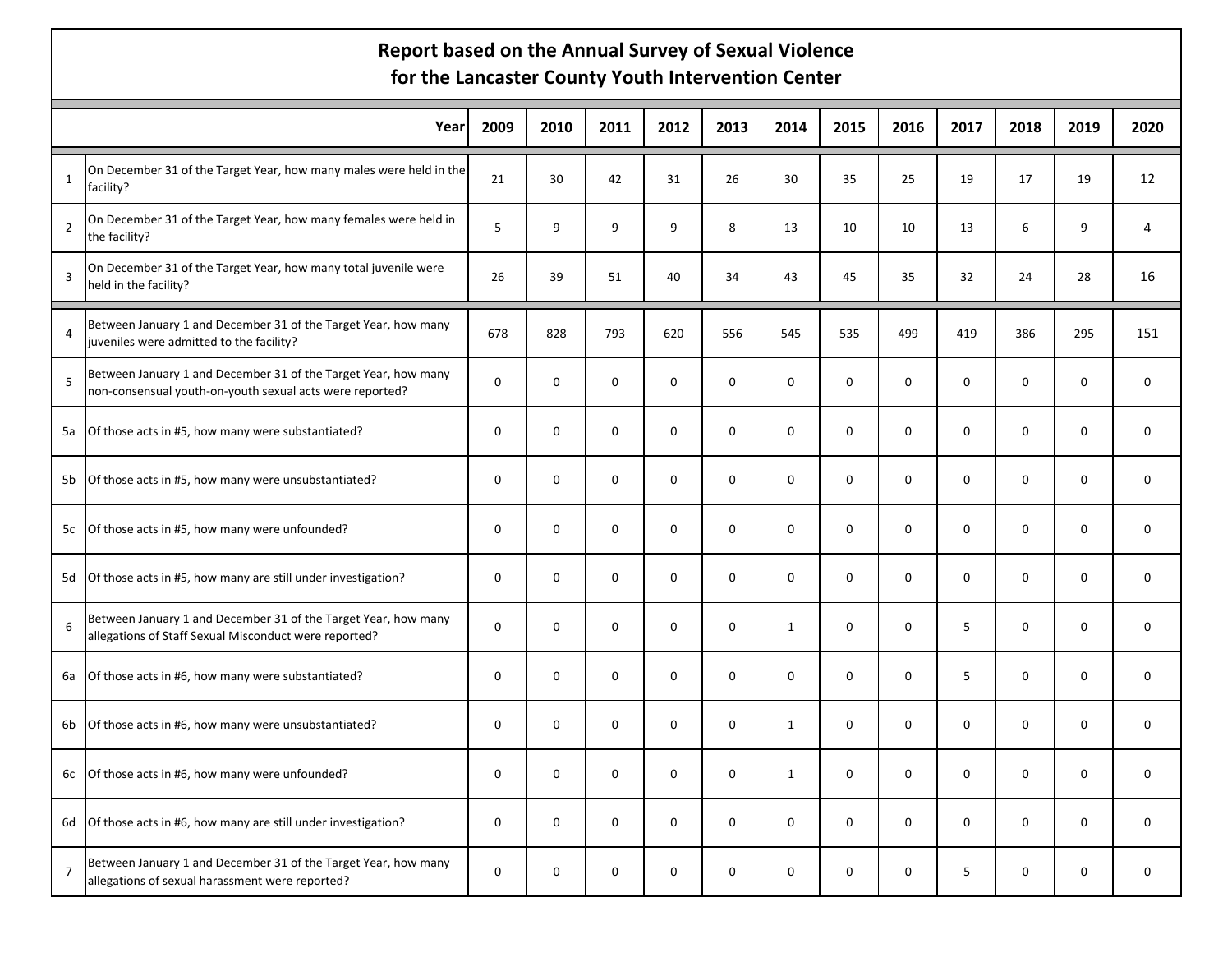## **Report based on the Annual Survey of Sexual Violence for the Lancaster County Youth Intervention Center**

|                | Year                                                                                                                       | 2009        | 2010        | 2011        | 2012     | 2013        | 2014         | 2015        | 2016        | 2017        | 2018        | 2019        | 2020        |
|----------------|----------------------------------------------------------------------------------------------------------------------------|-------------|-------------|-------------|----------|-------------|--------------|-------------|-------------|-------------|-------------|-------------|-------------|
| $\mathbf{1}$   | On December 31 of the Target Year, how many males were held in the<br>facility?                                            | 21          | 30          | 42          | 31       | 26          | 30           | 35          | 25          | 19          | 17          | 19          | 12          |
| $\overline{2}$ | On December 31 of the Target Year, how many females were held in<br>the facility?                                          | 5           | 9           | 9           | 9        | 8           | 13           | 10          | 10          | 13          | 6           | 9           | 4           |
| 3              | On December 31 of the Target Year, how many total juvenile were<br>held in the facility?                                   | 26          | 39          | 51          | 40       | 34          | 43           | 45          | 35          | 32          | 24          | 28          | 16          |
| 4              | Between January 1 and December 31 of the Target Year, how many<br>juveniles were admitted to the facility?                 | 678         | 828         | 793         | 620      | 556         | 545          | 535         | 499         | 419         | 386         | 295         | 151         |
| 5              | Between January 1 and December 31 of the Target Year, how many<br>non-consensual youth-on-youth sexual acts were reported? | $\mathbf 0$ | $\mathbf 0$ | 0           | 0        | $\mathbf 0$ | 0            | $\mathbf 0$ | 0           | $\mathbf 0$ | $\mathbf 0$ | $\mathbf 0$ | 0           |
| 5a             | Of those acts in #5, how many were substantiated?                                                                          | $\mathbf 0$ | 0           | $\mathbf 0$ | 0        | $\mathbf 0$ | $\Omega$     | $\mathbf 0$ | $\mathbf 0$ | $\mathbf 0$ | 0           | $\mathbf 0$ | $\mathbf 0$ |
|                | 5b Of those acts in #5, how many were unsubstantiated?                                                                     | $\mathbf 0$ | $\mathbf 0$ | 0           | 0        | $\mathbf 0$ | 0            | 0           | $\mathbf 0$ | $\mathbf 0$ | $\mathbf 0$ | $\mathbf 0$ | 0           |
|                | 5c Of those acts in #5, how many were unfounded?                                                                           | 0           | 0           | $\mathbf 0$ | 0        | 0           | 0            | $\mathbf 0$ | 0           | $\mathbf 0$ | $\pmb{0}$   | $\mathsf 0$ | 0           |
|                | 5d Of those acts in #5, how many are still under investigation?                                                            | $\Omega$    | $\Omega$    | $\Omega$    | $\Omega$ | $\Omega$    | $\Omega$     | $\Omega$    | $\Omega$    | $\Omega$    | $\Omega$    | $\Omega$    | $\Omega$    |
| 6              | Between January 1 and December 31 of the Target Year, how many<br>allegations of Staff Sexual Misconduct were reported?    | 0           | $\mathbf 0$ | 0           | 0        | $\Omega$    | $\mathbf{1}$ | 0           | $\mathbf 0$ | 5           | 0           | $\mathbf 0$ | $\mathbf 0$ |
| 6a             | Of those acts in #6, how many were substantiated?                                                                          | $\mathbf 0$ | 0           | 0           | 0        | 0           | $\Omega$     | $\mathbf 0$ | 0           | 5           | 0           | $\mathbf 0$ | 0           |
| 6b             | Of those acts in #6, how many were unsubstantiated?                                                                        | $\mathbf 0$ | $\Omega$    | 0           | 0        | $\mathbf 0$ | $\mathbf{1}$ | 0           | $\mathbf 0$ | $\mathbf 0$ | 0           | $\mathbf 0$ | $\mathbf 0$ |
|                | 6c Of those acts in #6, how many were unfounded?                                                                           | 0           | $\mathbf 0$ | $\mathbf 0$ | 0        | 0           | $\mathbf{1}$ | $\mathbf 0$ | $\mathbf 0$ | $\mathbf 0$ | 0           | $\mathbf 0$ | 0           |
|                | 6d Of those acts in #6, how many are still under investigation?                                                            | $\mathbf 0$ | $\mathbf 0$ | 0           | 0        | $\mathbf 0$ | 0            | 0           | $\mathbf 0$ | $\mathbf 0$ | $\mathbf 0$ | $\mathbf 0$ | 0           |
| $\overline{7}$ | Between January 1 and December 31 of the Target Year, how many<br>allegations of sexual harassment were reported?          | 0           | 0           | $\mathbf 0$ | 0        | $\mathbf 0$ | 0            | $\mathbf 0$ | $\mathbf 0$ | 5           | 0           | $\mathbf 0$ | $\mathbf 0$ |